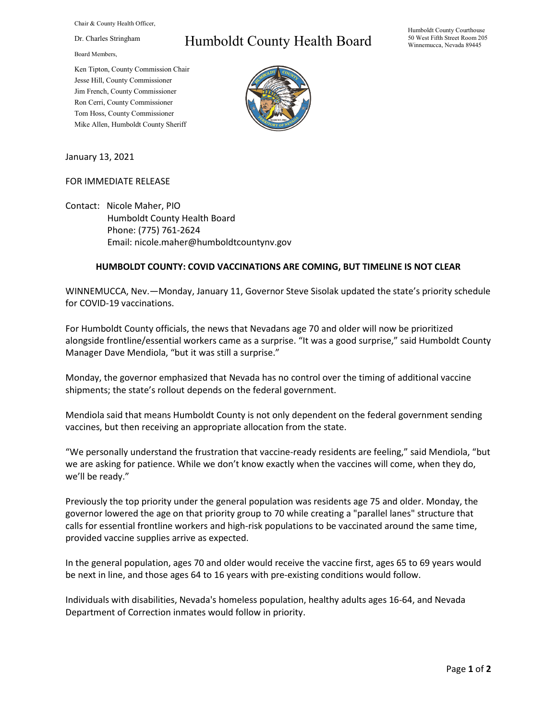Chair & County Health Officer,

Dr. Charles Stringham

Board Members,

Humboldt County Health Board

Humboldt County Courthouse 50 West Fifth Street Room 205 Winnemucca, Nevada 89445

Ken Tipton, County Commission Chair Jesse Hill, County Commissioner Jim French, County Commissioner Ron Cerri, County Commissioner Tom Hoss, County Commissioner Mike Allen, Humboldt County Sheriff



January 13, 2021

## FOR IMMEDIATE RELEASE

Contact: Nicole Maher, PIO Humboldt County Health Board Phone: (775) 761-2624 Email: nicole.maher@humboldtcountynv.gov

## **HUMBOLDT COUNTY: COVID VACCINATIONS ARE COMING, BUT TIMELINE IS NOT CLEAR**

WINNEMUCCA, Nev.—Monday, January 11, Governor Steve Sisolak updated the state's priority schedule for COVID-19 vaccinations.

For Humboldt County officials, the news that Nevadans age 70 and older will now be prioritized alongside frontline/essential workers came as a surprise. "It was a good surprise," said Humboldt County Manager Dave Mendiola, "but it was still a surprise."

Monday, the governor emphasized that Nevada has no control over the timing of additional vaccine shipments; the state's rollout depends on the federal government.

Mendiola said that means Humboldt County is not only dependent on the federal government sending vaccines, but then receiving an appropriate allocation from the state.

"We personally understand the frustration that vaccine-ready residents are feeling," said Mendiola, "but we are asking for patience. While we don't know exactly when the vaccines will come, when they do, we'll be ready."

Previously the top priority under the general population was residents age 75 and older. Monday, the governor lowered the age on that priority group to 70 while creating a "parallel lanes" structure that calls for essential frontline workers and high-risk populations to be vaccinated around the same time, provided vaccine supplies arrive as expected.

In the general population, ages 70 and older would receive the vaccine first, ages 65 to 69 years would be next in line, and those ages 64 to 16 years with pre-existing conditions would follow.

Individuals with disabilities, Nevada's homeless population, healthy adults ages 16-64, and Nevada Department of Correction inmates would follow in priority.